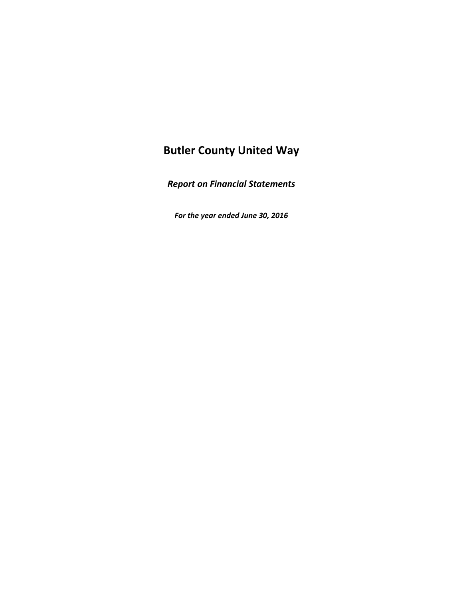# **Butler County United Way**

*Report on Financial Statements*

*For the year ended June 30, 2016*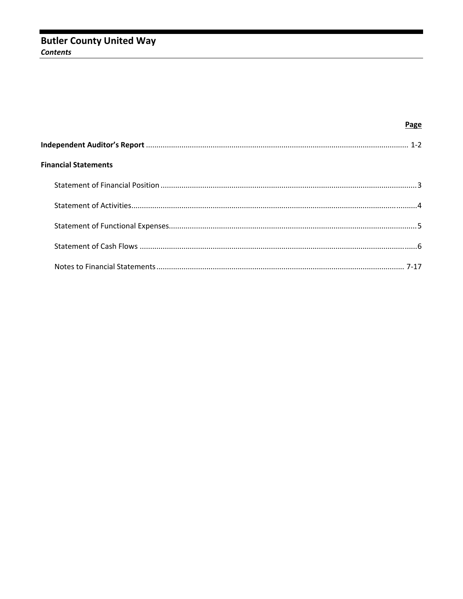## **Butler County United Way Contents**

|                             | Page |
|-----------------------------|------|
|                             |      |
| <b>Financial Statements</b> |      |
|                             |      |
|                             |      |
|                             |      |
|                             |      |
|                             |      |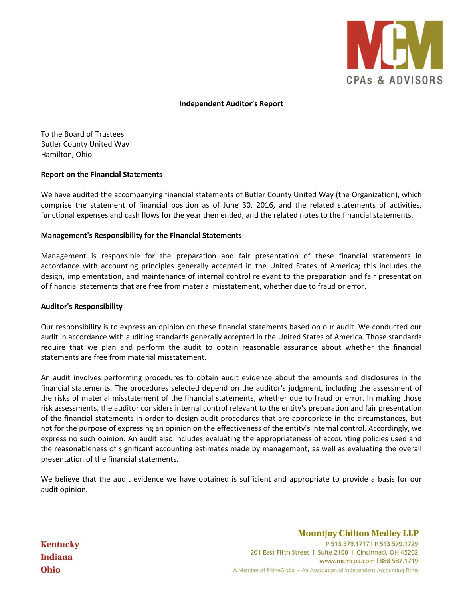

#### **Independent Auditor's Report**

To the Board of Trustees Butler County United Way Hamilton, Ohio

#### **Report on the Financial Statements**

We have audited the accompanying financial statements of Butler County United Way (the Organization), which comprise the statement of financial position as of June 30, 2016, and the related statements of activities, functional expenses and cash flows for the year then ended, and the related notes to the financial statements.

#### **Management's Responsibility for the Financial Statements**

Management is responsible for the preparation and fair presentation of these financial statements in accordance with accounting principles generally accepted in the United States of America; this includes the design, implementation, and maintenance of internal control relevant to the preparation and fair presentation of financial statements that are free from material misstatement, whether due to fraud or error.

#### **Auditor's Responsibility**

Our responsibility is to express an opinion on these financial statements based on our audit. We conducted our audit in accordance with auditing standards generally accepted in the United States of America. Those standards require that we plan and perform the audit to obtain reasonable assurance about whether the financial statements are free from material misstatement.

An audit involves performing procedures to obtain audit evidence about the amounts and disclosures in the financial statements. The procedures selected depend on the auditor's judgment, including the assessment of the risks of material misstatement of the financial statements, whether due to fraud or error. In making those risk assessments, the auditor considers internal control relevant to the entity's preparation and fair presentation of the financial statements in order to design audit procedures that are appropriate in the circumstances, but not for the purpose of expressing an opinion on the effectiveness of the entity's internal control. Accordingly, we express no such opinion. An audit also includes evaluating the appropriateness of accounting policies used and the reasonableness of significant accounting estimates made by management, as well as evaluating the overall presentation of the financial statements.

We believe that the audit evidence we have obtained is sufficient and appropriate to provide a basis for our audit opinion.

**Kentucky Indiana** Ohio

#### **Mountjoy Chilton Medley LLP** P 513.579.1717 | F 513.579.1729 201 East Fifth Street | Suite 2100 | Cincinnati, OH 45202 www.mcmcpa.com | 888.587.1719 A Member of PrimeGlobal - An Association of Independent Accounting Firms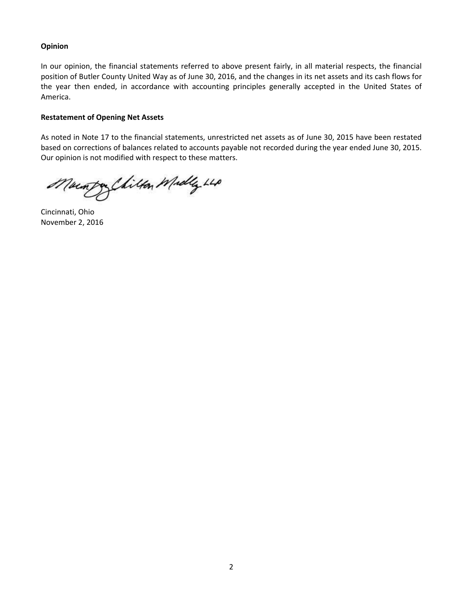### **Opinion**

In our opinion, the financial statements referred to above present fairly, in all material respects, the financial position of Butler County United Way as of June 30, 2016, and the changes in its net assets and its cash flows for the year then ended, in accordance with accounting principles generally accepted in the United States of America.

#### **Restatement of Opening Net Assets**

As noted in Note 17 to the financial statements, unrestricted net assets as of June 30, 2015 have been restated based on corrections of balances related to accounts payable not recorded during the year ended June 30, 2015. Our opinion is not modified with respect to these matters.

Macmy Chilton Midley LLA

Cincinnati, Ohio November 2, 2016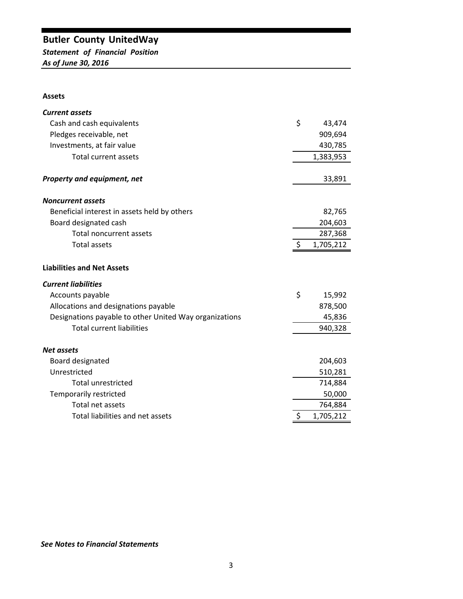# **Butler County UnitedWay** *Statement of Financial Position*

*As of June 30, 2016*

### **Assets**

| <b>Current assets</b>                                  |              |
|--------------------------------------------------------|--------------|
| Cash and cash equivalents                              | \$<br>43,474 |
| Pledges receivable, net                                | 909,694      |
| Investments, at fair value                             | 430,785      |
| Total current assets                                   | 1,383,953    |
| <b>Property and equipment, net</b>                     | 33,891       |
| <b>Noncurrent assets</b>                               |              |
| Beneficial interest in assets held by others           | 82,765       |
| Board designated cash                                  | 204,603      |
| <b>Total noncurrent assets</b>                         | 287,368      |
| <b>Total assets</b>                                    | 1,705,212    |
| <b>Liabilities and Net Assets</b>                      |              |
| <b>Current liabilities</b>                             |              |
| Accounts payable                                       | \$<br>15,992 |
| Allocations and designations payable                   | 878,500      |
| Designations payable to other United Way organizations | 45,836       |
| <b>Total current liabilities</b>                       | 940,328      |
| <b>Net assets</b>                                      |              |
| Board designated                                       | 204,603      |
| Unrestricted                                           | 510,281      |
| <b>Total unrestricted</b>                              | 714,884      |
| Temporarily restricted                                 | 50,000       |
| Total net assets                                       | 764,884      |
| Total liabilities and net assets                       | 1,705,212    |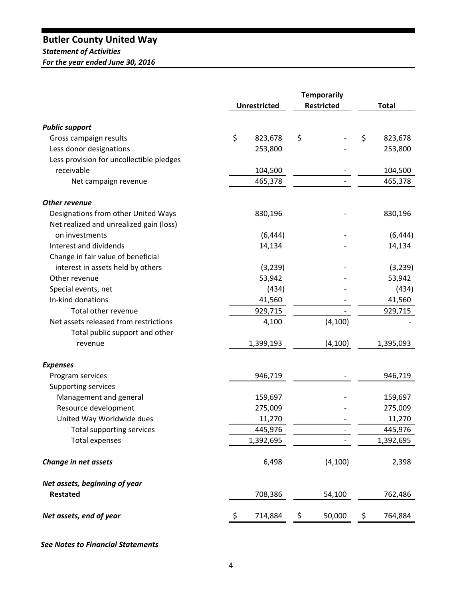|                                          | <b>Temporarily</b>  |           |                   |    |              |
|------------------------------------------|---------------------|-----------|-------------------|----|--------------|
|                                          | <b>Unrestricted</b> |           | <b>Restricted</b> |    | <b>Total</b> |
|                                          |                     |           |                   |    |              |
| <b>Public support</b>                    |                     |           |                   |    |              |
| Gross campaign results                   | \$                  | 823,678   | \$                | \$ | 823,678      |
| Less donor designations                  |                     | 253,800   |                   |    | 253,800      |
| Less provision for uncollectible pledges |                     |           |                   |    |              |
| receivable                               |                     | 104,500   |                   |    | 104,500      |
| Net campaign revenue                     |                     | 465,378   |                   |    | 465,378      |
| <b>Other revenue</b>                     |                     |           |                   |    |              |
| Designations from other United Ways      |                     | 830,196   |                   |    | 830,196      |
| Net realized and unrealized gain (loss)  |                     |           |                   |    |              |
| on investments                           |                     | (6, 444)  |                   |    | (6, 444)     |
| Interest and dividends                   |                     | 14,134    |                   |    | 14,134       |
| Change in fair value of beneficial       |                     |           |                   |    |              |
| interest in assets held by others        |                     | (3, 239)  |                   |    | (3, 239)     |
| Other revenue                            |                     | 53,942    |                   |    | 53,942       |
| Special events, net                      |                     | (434)     |                   |    | (434)        |
| In-kind donations                        |                     | 41,560    |                   |    | 41,560       |
| Total other revenue                      |                     | 929,715   |                   |    | 929,715      |
| Net assets released from restrictions    |                     | 4,100     | (4, 100)          |    |              |
| Total public support and other           |                     |           |                   |    |              |
| revenue                                  |                     | 1,399,193 | (4, 100)          |    | 1,395,093    |
|                                          |                     |           |                   |    |              |
| <b>Expenses</b>                          |                     |           |                   |    |              |
| Program services                         |                     | 946,719   |                   |    | 946,719      |
| Supporting services                      |                     |           |                   |    |              |
| Management and general                   |                     | 159,697   |                   |    | 159,697      |
| Resource development                     |                     | 275,009   |                   |    | 275,009      |
| United Way Worldwide dues                |                     | 11,270    |                   |    | 11,270       |
| Total supporting services                |                     | 445,976   |                   |    | 445,976      |
| <b>Total expenses</b>                    |                     | 1,392,695 |                   |    | 1,392,695    |
| Change in net assets                     |                     | 6,498     | (4, 100)          |    | 2,398        |
| Net assets, beginning of year            |                     |           |                   |    |              |
| Restated                                 |                     | 708,386   | 54,100            |    | 762,486      |
| Net assets, end of year                  | \$                  | 714,884   | \$<br>50,000      | \$ | 764,884      |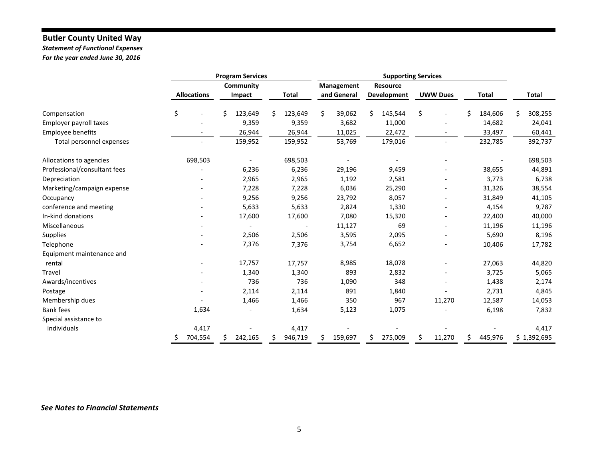#### **Butler County United Way**

#### *Statement of Functional Expenses*

*For the year ended June 30, 2016*

|                              |                    | <b>Program Services</b> |               |                          |                 | <b>Supporting Services</b> |               |               |
|------------------------------|--------------------|-------------------------|---------------|--------------------------|-----------------|----------------------------|---------------|---------------|
|                              |                    | Community               |               | Management               | <b>Resource</b> |                            |               |               |
|                              | <b>Allocations</b> | Impact                  | <b>Total</b>  | and General              | Development     | <b>UWW Dues</b>            | <b>Total</b>  | <b>Total</b>  |
| Compensation                 | \$                 | Ś.<br>123,649           | 123,649<br>Ś. | Ś.<br>39,062             | \$.<br>145,544  | \$                         | \$<br>184,606 | Ś.<br>308,255 |
| Employer payroll taxes       |                    | 9,359                   | 9,359         | 3,682                    | 11,000          |                            | 14,682        | 24,041        |
| Employee benefits            |                    | 26,944                  | 26,944        | 11,025                   | 22,472          |                            | 33,497        | 60,441        |
| Total personnel expenses     |                    | 159,952                 | 159,952       | 53,769                   | 179,016         | $\overline{\phantom{a}}$   | 232,785       | 392,737       |
| Allocations to agencies      | 698,503            | $\blacksquare$          | 698,503       | $\overline{\phantom{a}}$ |                 |                            |               | 698,503       |
| Professional/consultant fees |                    | 6,236                   | 6,236         | 29,196                   | 9,459           |                            | 38,655        | 44,891        |
| Depreciation                 |                    | 2,965                   | 2,965         | 1,192                    | 2,581           |                            | 3,773         | 6,738         |
| Marketing/campaign expense   |                    | 7,228                   | 7,228         | 6,036                    | 25,290          |                            | 31,326        | 38,554        |
| Occupancy                    |                    | 9,256                   | 9,256         | 23,792                   | 8,057           |                            | 31,849        | 41,105        |
| conference and meeting       |                    | 5,633                   | 5,633         | 2,824                    | 1,330           |                            | 4,154         | 9,787         |
| In-kind donations            |                    | 17,600                  | 17,600        | 7,080                    | 15,320          |                            | 22,400        | 40,000        |
| Miscellaneous                |                    |                         |               | 11,127                   | 69              |                            | 11,196        | 11,196        |
| Supplies                     |                    | 2,506                   | 2,506         | 3,595                    | 2,095           |                            | 5,690         | 8,196         |
| Telephone                    |                    | 7,376                   | 7,376         | 3,754                    | 6,652           |                            | 10,406        | 17,782        |
| Equipment maintenance and    |                    |                         |               |                          |                 |                            |               |               |
| rental                       |                    | 17,757                  | 17,757        | 8,985                    | 18,078          |                            | 27,063        | 44,820        |
| <b>Travel</b>                |                    | 1,340                   | 1,340         | 893                      | 2,832           |                            | 3,725         | 5,065         |
| Awards/incentives            |                    | 736                     | 736           | 1,090                    | 348             |                            | 1,438         | 2,174         |
| Postage                      |                    | 2,114                   | 2,114         | 891                      | 1,840           |                            | 2,731         | 4,845         |
| Membership dues              |                    | 1,466                   | 1,466         | 350                      | 967             | 11,270                     | 12,587        | 14,053        |
| <b>Bank fees</b>             | 1,634              |                         | 1,634         | 5,123                    | 1,075           |                            | 6,198         | 7,832         |
| Special assistance to        |                    |                         |               |                          |                 |                            |               |               |
| individuals                  | 4,417              |                         | 4,417         |                          |                 |                            |               | 4,417         |
|                              | 704,554            | 242,165                 | 946,719       | 159,697                  | 275,009<br>Ś.   | 11,270<br>Ś                | 445,976<br>Ś. | \$1,392,695   |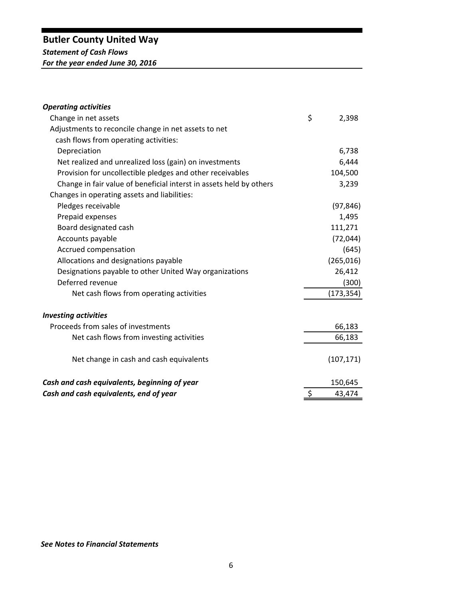# **Butler County United Way** *Statement of Cash Flows For the year ended June 30, 2016*

| <b>Operating activities</b>                                         |             |
|---------------------------------------------------------------------|-------------|
| Change in net assets                                                | \$<br>2,398 |
| Adjustments to reconcile change in net assets to net                |             |
| cash flows from operating activities:                               |             |
| Depreciation                                                        | 6,738       |
| Net realized and unrealized loss (gain) on investments              | 6,444       |
| Provision for uncollectible pledges and other receivables           | 104,500     |
| Change in fair value of beneficial interst in assets held by others | 3,239       |
| Changes in operating assets and liabilities:                        |             |
| Pledges receivable                                                  | (97, 846)   |
| Prepaid expenses                                                    | 1,495       |
| Board designated cash                                               | 111,271     |
| Accounts payable                                                    | (72, 044)   |
| Accrued compensation                                                | (645)       |
| Allocations and designations payable                                | (265, 016)  |
| Designations payable to other United Way organizations              | 26,412      |
| Deferred revenue                                                    | (300)       |
| Net cash flows from operating activities                            | (173, 354)  |
| <b>Investing activities</b>                                         |             |
| Proceeds from sales of investments                                  | 66,183      |
| Net cash flows from investing activities                            | 66,183      |
| Net change in cash and cash equivalents                             | (107, 171)  |
| Cash and cash equivalents, beginning of year                        | 150,645     |
| Cash and cash equivalents, end of year                              | 43,474      |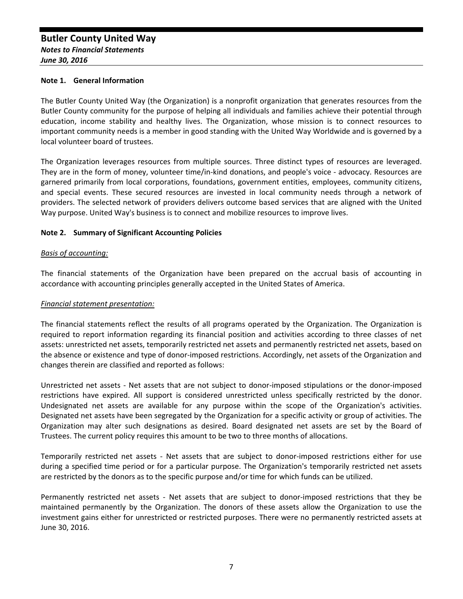#### **Note 1. General Information**

The Butler County United Way (the Organization) is a nonprofit organization that generates resources from the Butler County community for the purpose of helping all individuals and families achieve their potential through education, income stability and healthy lives. The Organization, whose mission is to connect resources to important community needs is a member in good standing with the United Way Worldwide and is governed by a local volunteer board of trustees.

The Organization leverages resources from multiple sources. Three distinct types of resources are leveraged. They are in the form of money, volunteer time/in‐kind donations, and people's voice ‐ advocacy. Resources are garnered primarily from local corporations, foundations, government entities, employees, community citizens, and special events. These secured resources are invested in local community needs through a network of providers. The selected network of providers delivers outcome based services that are aligned with the United Way purpose. United Way's business is to connect and mobilize resources to improve lives.

#### **Note 2. Summary of Significant Accounting Policies**

#### *Basis of accounting:*

The financial statements of the Organization have been prepared on the accrual basis of accounting in accordance with accounting principles generally accepted in the United States of America.

#### *Financial statement presentation:*

The financial statements reflect the results of all programs operated by the Organization. The Organization is required to report information regarding its financial position and activities according to three classes of net assets: unrestricted net assets, temporarily restricted net assets and permanently restricted net assets, based on the absence or existence and type of donor‐imposed restrictions. Accordingly, net assets of the Organization and changes therein are classified and reported as follows:

Unrestricted net assets ‐ Net assets that are not subject to donor‐imposed stipulations or the donor‐imposed restrictions have expired. All support is considered unrestricted unless specifically restricted by the donor. Undesignated net assets are available for any purpose within the scope of the Organization's activities. Designated net assets have been segregated by the Organization for a specific activity or group of activities. The Organization may alter such designations as desired. Board designated net assets are set by the Board of Trustees. The current policy requires this amount to be two to three months of allocations.

Temporarily restricted net assets - Net assets that are subject to donor-imposed restrictions either for use during a specified time period or for a particular purpose. The Organization's temporarily restricted net assets are restricted by the donors as to the specific purpose and/or time for which funds can be utilized.

Permanently restricted net assets - Net assets that are subject to donor-imposed restrictions that they be maintained permanently by the Organization. The donors of these assets allow the Organization to use the investment gains either for unrestricted or restricted purposes. There were no permanently restricted assets at June 30, 2016.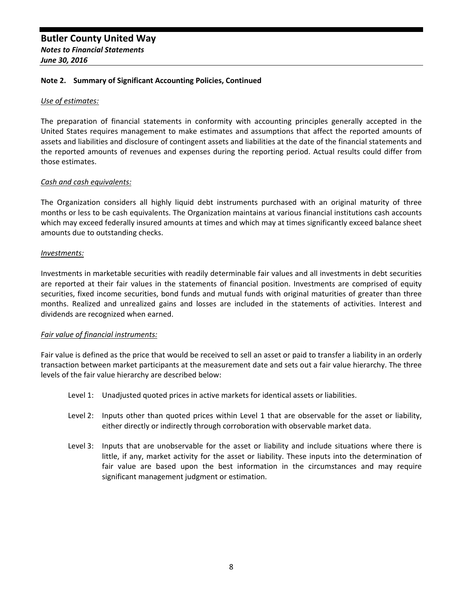#### *Use of estimates:*

The preparation of financial statements in conformity with accounting principles generally accepted in the United States requires management to make estimates and assumptions that affect the reported amounts of assets and liabilities and disclosure of contingent assets and liabilities at the date of the financial statements and the reported amounts of revenues and expenses during the reporting period. Actual results could differ from those estimates.

#### *Cash and cash equivalents:*

The Organization considers all highly liquid debt instruments purchased with an original maturity of three months or less to be cash equivalents. The Organization maintains at various financial institutions cash accounts which may exceed federally insured amounts at times and which may at times significantly exceed balance sheet amounts due to outstanding checks.

#### *Investments:*

Investments in marketable securities with readily determinable fair values and all investments in debt securities are reported at their fair values in the statements of financial position. Investments are comprised of equity securities, fixed income securities, bond funds and mutual funds with original maturities of greater than three months. Realized and unrealized gains and losses are included in the statements of activities. Interest and dividends are recognized when earned.

#### *Fair value of financial instruments:*

Fair value is defined as the price that would be received to sell an asset or paid to transfer a liability in an orderly transaction between market participants at the measurement date and sets out a fair value hierarchy. The three levels of the fair value hierarchy are described below:

- Level 1: Unadjusted quoted prices in active markets for identical assets or liabilities.
- Level 2: Inputs other than quoted prices within Level 1 that are observable for the asset or liability, either directly or indirectly through corroboration with observable market data.
- Level 3: Inputs that are unobservable for the asset or liability and include situations where there is little, if any, market activity for the asset or liability. These inputs into the determination of fair value are based upon the best information in the circumstances and may require significant management judgment or estimation.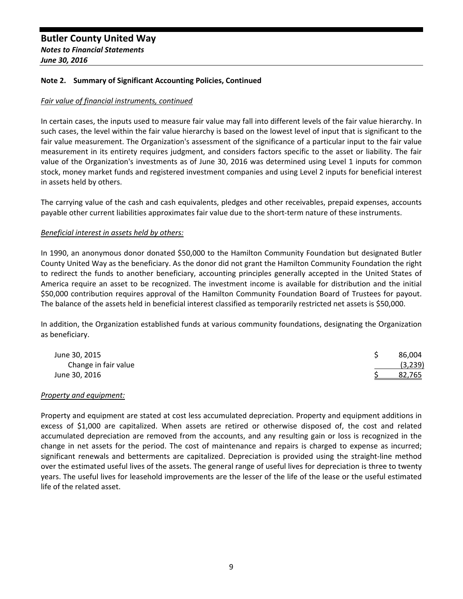#### *Fair value of financial instruments, continued*

In certain cases, the inputs used to measure fair value may fall into different levels of the fair value hierarchy. In such cases, the level within the fair value hierarchy is based on the lowest level of input that is significant to the fair value measurement. The Organization's assessment of the significance of a particular input to the fair value measurement in its entirety requires judgment, and considers factors specific to the asset or liability. The fair value of the Organization's investments as of June 30, 2016 was determined using Level 1 inputs for common stock, money market funds and registered investment companies and using Level 2 inputs for beneficial interest in assets held by others.

The carrying value of the cash and cash equivalents, pledges and other receivables, prepaid expenses, accounts payable other current liabilities approximates fair value due to the short‐term nature of these instruments.

#### *Beneficial interest in assets held by others:*

In 1990, an anonymous donor donated \$50,000 to the Hamilton Community Foundation but designated Butler County United Way as the beneficiary. As the donor did not grant the Hamilton Community Foundation the right to redirect the funds to another beneficiary, accounting principles generally accepted in the United States of America require an asset to be recognized. The investment income is available for distribution and the initial \$50,000 contribution requires approval of the Hamilton Community Foundation Board of Trustees for payout. The balance of the assets held in beneficial interest classified as temporarily restricted net assets is \$50,000.

In addition, the Organization established funds at various community foundations, designating the Organization as beneficiary.

| June 30, 2015        | 86,004   |
|----------------------|----------|
| Change in fair value | (3, 239) |
| June 30, 2016        | 82,765   |

#### *Property and equipment:*

Property and equipment are stated at cost less accumulated depreciation. Property and equipment additions in excess of \$1,000 are capitalized. When assets are retired or otherwise disposed of, the cost and related accumulated depreciation are removed from the accounts, and any resulting gain or loss is recognized in the change in net assets for the period. The cost of maintenance and repairs is charged to expense as incurred; significant renewals and betterments are capitalized. Depreciation is provided using the straight‐line method over the estimated useful lives of the assets. The general range of useful lives for depreciation is three to twenty years. The useful lives for leasehold improvements are the lesser of the life of the lease or the useful estimated life of the related asset.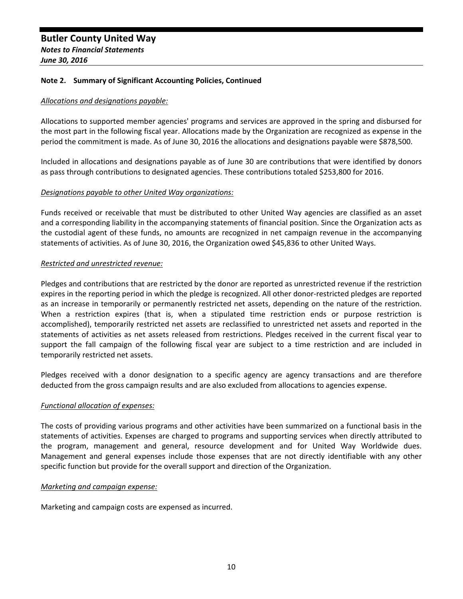#### *Allocations and designations payable:*

Allocations to supported member agencies' programs and services are approved in the spring and disbursed for the most part in the following fiscal year. Allocations made by the Organization are recognized as expense in the period the commitment is made. As of June 30, 2016 the allocations and designations payable were \$878,500.

Included in allocations and designations payable as of June 30 are contributions that were identified by donors as pass through contributions to designated agencies. These contributions totaled \$253,800 for 2016.

#### *Designations payable to other United Way organizations:*

Funds received or receivable that must be distributed to other United Way agencies are classified as an asset and a corresponding liability in the accompanying statements of financial position. Since the Organization acts as the custodial agent of these funds, no amounts are recognized in net campaign revenue in the accompanying statements of activities. As of June 30, 2016, the Organization owed \$45,836 to other United Ways.

#### *Restricted and unrestricted revenue:*

Pledges and contributions that are restricted by the donor are reported as unrestricted revenue if the restriction expires in the reporting period in which the pledge is recognized. All other donor-restricted pledges are reported as an increase in temporarily or permanently restricted net assets, depending on the nature of the restriction. When a restriction expires (that is, when a stipulated time restriction ends or purpose restriction is accomplished), temporarily restricted net assets are reclassified to unrestricted net assets and reported in the statements of activities as net assets released from restrictions. Pledges received in the current fiscal year to support the fall campaign of the following fiscal year are subject to a time restriction and are included in temporarily restricted net assets.

Pledges received with a donor designation to a specific agency are agency transactions and are therefore deducted from the gross campaign results and are also excluded from allocations to agencies expense.

#### *Functional allocation of expenses:*

The costs of providing various programs and other activities have been summarized on a functional basis in the statements of activities. Expenses are charged to programs and supporting services when directly attributed to the program, management and general, resource development and for United Way Worldwide dues. Management and general expenses include those expenses that are not directly identifiable with any other specific function but provide for the overall support and direction of the Organization.

#### *Marketing and campaign expense:*

Marketing and campaign costs are expensed as incurred.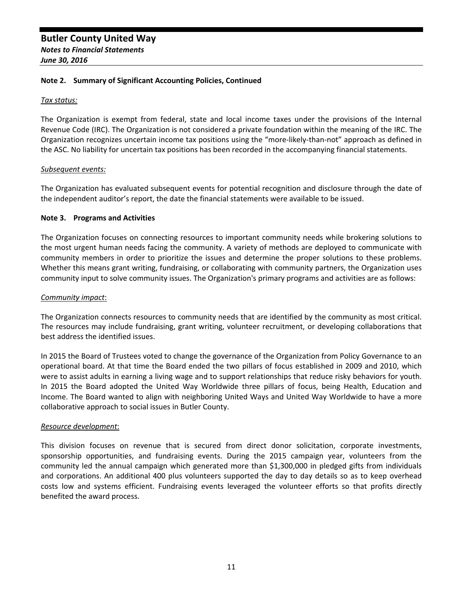#### *Tax status:*

The Organization is exempt from federal, state and local income taxes under the provisions of the Internal Revenue Code (IRC). The Organization is not considered a private foundation within the meaning of the IRC. The Organization recognizes uncertain income tax positions using the "more‐likely‐than‐not" approach as defined in the ASC. No liability for uncertain tax positions has been recorded in the accompanying financial statements.

#### *Subsequent events:*

The Organization has evaluated subsequent events for potential recognition and disclosure through the date of the independent auditor's report, the date the financial statements were available to be issued.

#### **Note 3. Programs and Activities**

The Organization focuses on connecting resources to important community needs while brokering solutions to the most urgent human needs facing the community. A variety of methods are deployed to communicate with community members in order to prioritize the issues and determine the proper solutions to these problems. Whether this means grant writing, fundraising, or collaborating with community partners, the Organization uses community input to solve community issues. The Organization's primary programs and activities are as follows:

#### *Community impact*:

The Organization connects resources to community needs that are identified by the community as most critical. The resources may include fundraising, grant writing, volunteer recruitment, or developing collaborations that best address the identified issues.

In 2015 the Board of Trustees voted to change the governance of the Organization from Policy Governance to an operational board. At that time the Board ended the two pillars of focus established in 2009 and 2010, which were to assist adults in earning a living wage and to support relationships that reduce risky behaviors for youth. In 2015 the Board adopted the United Way Worldwide three pillars of focus, being Health, Education and Income. The Board wanted to align with neighboring United Ways and United Way Worldwide to have a more collaborative approach to social issues in Butler County.

#### *Resource development*:

This division focuses on revenue that is secured from direct donor solicitation, corporate investments, sponsorship opportunities, and fundraising events. During the 2015 campaign year, volunteers from the community led the annual campaign which generated more than \$1,300,000 in pledged gifts from individuals and corporations. An additional 400 plus volunteers supported the day to day details so as to keep overhead costs low and systems efficient. Fundraising events leveraged the volunteer efforts so that profits directly benefited the award process.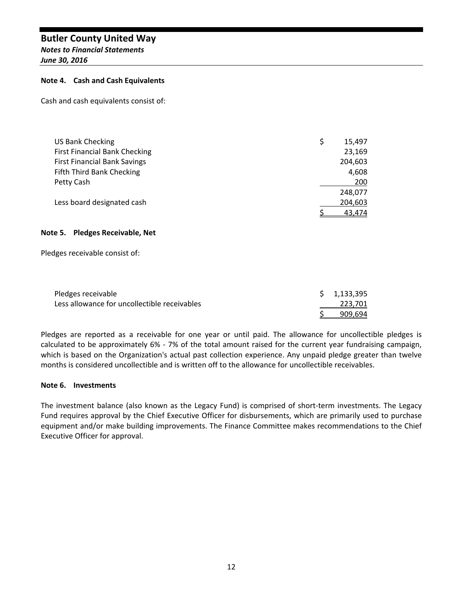## **Butler County United Way** *Notes to Financial Statements*

*June 30, 2016*

#### **Note 4. Cash and Cash Equivalents**

Cash and cash equivalents consist of:

| <b>US Bank Checking</b>              | \$<br>15.497 |
|--------------------------------------|--------------|
| <b>First Financial Bank Checking</b> | 23,169       |
| <b>First Financial Bank Savings</b>  | 204,603      |
| Fifth Third Bank Checking            | 4,608        |
| Petty Cash                           | 200          |
|                                      | 248,077      |
| Less board designated cash           | 204,603      |
|                                      | 43.474       |

#### **Note 5. Pledges Receivable, Net**

Pledges receivable consist of:

| Pledges receivable                           | \$1,133,395 |
|----------------------------------------------|-------------|
| Less allowance for uncollectible receivables | 223,701     |
|                                              | 909.694     |

Pledges are reported as a receivable for one year or until paid. The allowance for uncollectible pledges is calculated to be approximately 6% ‐ 7% of the total amount raised for the current year fundraising campaign, which is based on the Organization's actual past collection experience. Any unpaid pledge greater than twelve months is considered uncollectible and is written off to the allowance for uncollectible receivables.

#### **Note 6. Investments**

The investment balance (also known as the Legacy Fund) is comprised of short-term investments. The Legacy Fund requires approval by the Chief Executive Officer for disbursements, which are primarily used to purchase equipment and/or make building improvements. The Finance Committee makes recommendations to the Chief Executive Officer for approval.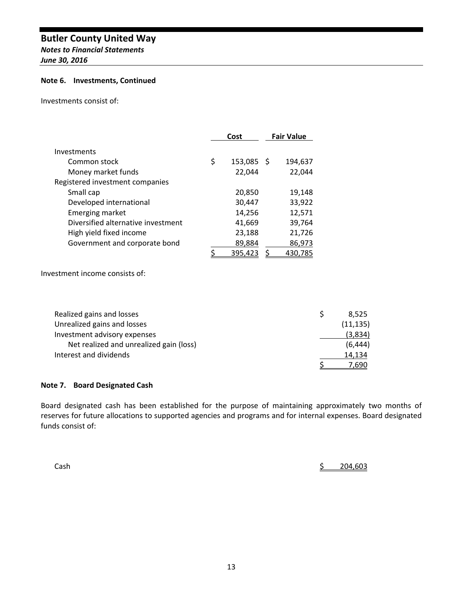## **Butler County United Way**

*Notes to Financial Statements*

*June 30, 2016*

#### **Note 6. Investments, Continued**

Investments consist of:

|                                    | Cost             | <b>Fair Value</b> |
|------------------------------------|------------------|-------------------|
| Investments                        |                  |                   |
| Common stock                       | \$<br>153,085 \$ | 194,637           |
| Money market funds                 | 22,044           | 22,044            |
| Registered investment companies    |                  |                   |
| Small cap                          | 20,850           | 19,148            |
| Developed international            | 30,447           | 33,922            |
| <b>Emerging market</b>             | 14,256           | 12,571            |
| Diversified alternative investment | 41,669           | 39,764            |
| High yield fixed income            | 23,188           | 21,726            |
| Government and corporate bond      | 89,884           | 86,973            |
|                                    | 395,423          | 430,785           |

Investment income consists of:

| Realized gains and losses               | 8.525     |
|-----------------------------------------|-----------|
| Unrealized gains and losses             | (11, 135) |
| Investment advisory expenses            | (3,834)   |
| Net realized and unrealized gain (loss) | (6, 444)  |
| Interest and dividends                  | 14,134    |
|                                         | 7.690     |

#### **Note 7. Board Designated Cash**

Board designated cash has been established for the purpose of maintaining approximately two months of reserves for future allocations to supported agencies and programs and for internal expenses. Board designated funds consist of:

 $\frac{1}{2}$  204,603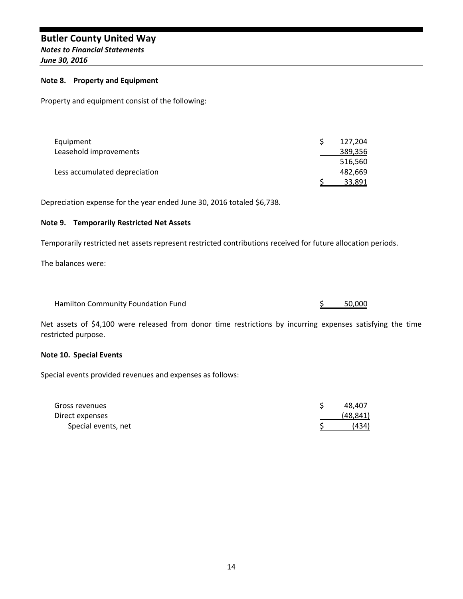## **Butler County United Way** *Notes to Financial Statements June 30, 2016*

#### **Note 8. Property and Equipment**

Property and equipment consist of the following:

| Equipment                     | 127.204 |
|-------------------------------|---------|
| Leasehold improvements        | 389,356 |
|                               | 516,560 |
| Less accumulated depreciation | 482,669 |
|                               | 33.891  |

Depreciation expense for the year ended June 30, 2016 totaled \$6,738.

### **Note 9. Temporarily Restricted Net Assets**

Temporarily restricted net assets represent restricted contributions received for future allocation periods.

The balances were:

Hamilton Community Foundation Fund<br>  $\frac{1}{5}$  50,000

Net assets of \$4,100 were released from donor time restrictions by incurring expenses satisfying the time restricted purpose.

#### **Note 10. Special Events**

Special events provided revenues and expenses as follows:

| Gross revenues      | 48.407   |
|---------------------|----------|
| Direct expenses     | (48.841) |
| Special events, net | (434)    |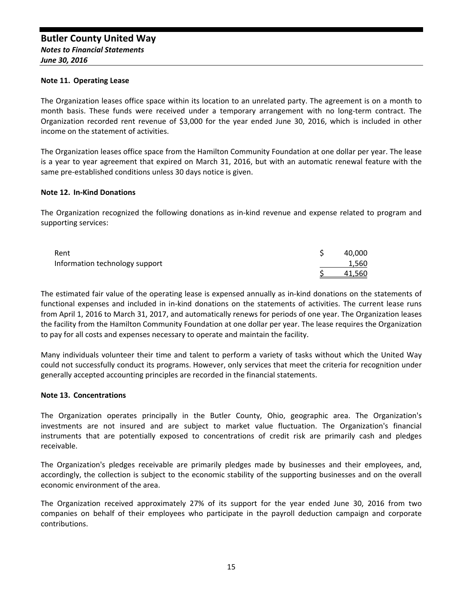#### **Note 11. Operating Lease**

The Organization leases office space within its location to an unrelated party. The agreement is on a month to month basis. These funds were received under a temporary arrangement with no long-term contract. The Organization recorded rent revenue of \$3,000 for the year ended June 30, 2016, which is included in other income on the statement of activities.

The Organization leases office space from the Hamilton Community Foundation at one dollar per year. The lease is a year to year agreement that expired on March 31, 2016, but with an automatic renewal feature with the same pre-established conditions unless 30 days notice is given.

#### **Note 12. In‐Kind Donations**

The Organization recognized the following donations as in‐kind revenue and expense related to program and supporting services:

| Rent                           | 40.000 |
|--------------------------------|--------|
| Information technology support | 1,560  |
|                                | 41,560 |

The estimated fair value of the operating lease is expensed annually as in‐kind donations on the statements of functional expenses and included in in-kind donations on the statements of activities. The current lease runs from April 1, 2016 to March 31, 2017, and automatically renews for periods of one year. The Organization leases the facility from the Hamilton Community Foundation at one dollar per year. The lease requires the Organization to pay for all costs and expenses necessary to operate and maintain the facility.

Many individuals volunteer their time and talent to perform a variety of tasks without which the United Way could not successfully conduct its programs. However, only services that meet the criteria for recognition under generally accepted accounting principles are recorded in the financial statements.

#### **Note 13. Concentrations**

The Organization operates principally in the Butler County, Ohio, geographic area. The Organization's investments are not insured and are subject to market value fluctuation. The Organization's financial instruments that are potentially exposed to concentrations of credit risk are primarily cash and pledges receivable.

The Organization's pledges receivable are primarily pledges made by businesses and their employees, and, accordingly, the collection is subject to the economic stability of the supporting businesses and on the overall economic environment of the area.

The Organization received approximately 27% of its support for the year ended June 30, 2016 from two companies on behalf of their employees who participate in the payroll deduction campaign and corporate contributions.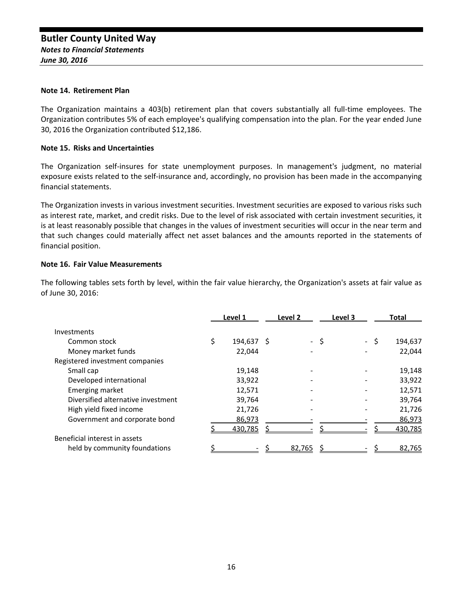#### **Note 14. Retirement Plan**

The Organization maintains a 403(b) retirement plan that covers substantially all full-time employees. The Organization contributes 5% of each employee's qualifying compensation into the plan. For the year ended June 30, 2016 the Organization contributed \$12,186.

#### **Note 15. Risks and Uncertainties**

The Organization self‐insures for state unemployment purposes. In management's judgment, no material exposure exists related to the self‐insurance and, accordingly, no provision has been made in the accompanying financial statements.

The Organization invests in various investment securities. Investment securities are exposed to various risks such as interest rate, market, and credit risks. Due to the level of risk associated with certain investment securities, it is at least reasonably possible that changes in the values of investment securities will occur in the near term and that such changes could materially affect net asset balances and the amounts reported in the statements of financial position.

#### **Note 16. Fair Value Measurements**

The following tables sets forth by level, within the fair value hierarchy, the Organization's assets at fair value as of June 30, 2016:

|                                    | Level 1          | Level 2 |      | Level 3 |      | Total   |
|------------------------------------|------------------|---------|------|---------|------|---------|
| Investments                        |                  |         |      |         |      |         |
| Common stock                       | \$<br>194,637 \$ |         | - \$ |         | - \$ | 194,637 |
| Money market funds                 | 22,044           |         |      |         |      | 22,044  |
| Registered investment companies    |                  |         |      |         |      |         |
| Small cap                          | 19,148           |         |      |         |      | 19,148  |
| Developed international            | 33,922           |         |      |         |      | 33,922  |
| Emerging market                    | 12,571           |         |      |         |      | 12,571  |
| Diversified alternative investment | 39,764           |         |      |         |      | 39,764  |
| High yield fixed income            | 21,726           |         |      |         |      | 21,726  |
| Government and corporate bond      | 86,973           |         |      |         |      | 86,973  |
|                                    | 430,785          |         |      |         |      | 430,785 |
| Beneficial interest in assets      |                  |         |      |         |      |         |
| held by community foundations      |                  | 82,765  |      |         |      | 82,765  |